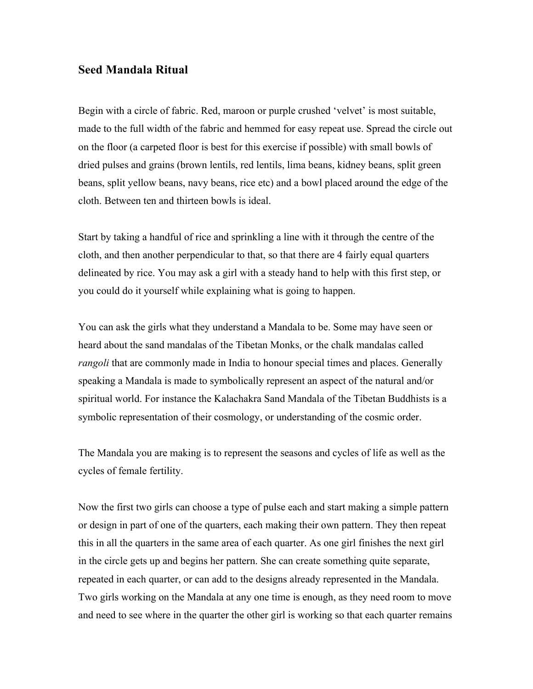## **Seed Mandala Ritual**

Begin with a circle of fabric. Red, maroon or purple crushed 'velvet' is most suitable, made to the full width of the fabric and hemmed for easy repeat use. Spread the circle out on the floor (a carpeted floor is best for this exercise if possible) with small bowls of dried pulses and grains (brown lentils, red lentils, lima beans, kidney beans, split green beans, split yellow beans, navy beans, rice etc) and a bowl placed around the edge of the cloth. Between ten and thirteen bowls is ideal.

Start by taking a handful of rice and sprinkling a line with it through the centre of the cloth, and then another perpendicular to that, so that there are 4 fairly equal quarters delineated by rice. You may ask a girl with a steady hand to help with this first step, or you could do it yourself while explaining what is going to happen.

You can ask the girls what they understand a Mandala to be. Some may have seen or heard about the sand mandalas of the Tibetan Monks, or the chalk mandalas called *rangoli* that are commonly made in India to honour special times and places. Generally speaking a Mandala is made to symbolically represent an aspect of the natural and/or spiritual world. For instance the Kalachakra Sand Mandala of the Tibetan Buddhists is a symbolic representation of their cosmology, or understanding of the cosmic order.

The Mandala you are making is to represent the seasons and cycles of life as well as the cycles of female fertility.

Now the first two girls can choose a type of pulse each and start making a simple pattern or design in part of one of the quarters, each making their own pattern. They then repeat this in all the quarters in the same area of each quarter. As one girl finishes the next girl in the circle gets up and begins her pattern. She can create something quite separate, repeated in each quarter, or can add to the designs already represented in the Mandala. Two girls working on the Mandala at any one time is enough, as they need room to move and need to see where in the quarter the other girl is working so that each quarter remains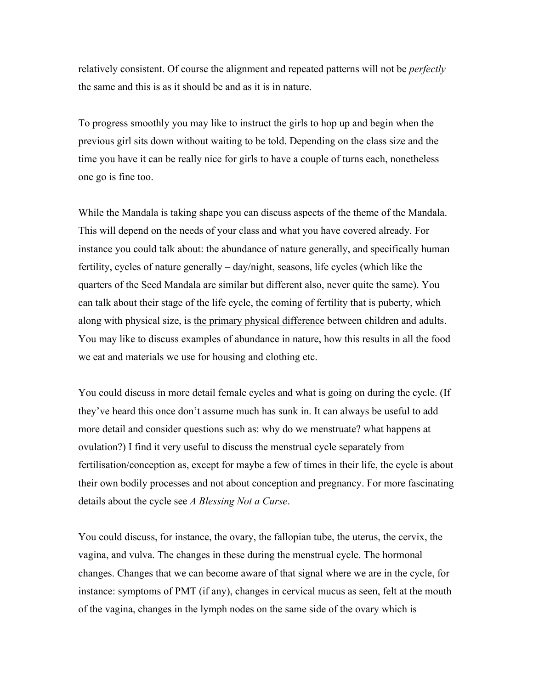relatively consistent. Of course the alignment and repeated patterns will not be *perfectly*  the same and this is as it should be and as it is in nature.

To progress smoothly you may like to instruct the girls to hop up and begin when the previous girl sits down without waiting to be told. Depending on the class size and the time you have it can be really nice for girls to have a couple of turns each, nonetheless one go is fine too.

While the Mandala is taking shape you can discuss aspects of the theme of the Mandala. This will depend on the needs of your class and what you have covered already. For instance you could talk about: the abundance of nature generally, and specifically human fertility, cycles of nature generally – day/night, seasons, life cycles (which like the quarters of the Seed Mandala are similar but different also, never quite the same). You can talk about their stage of the life cycle, the coming of fertility that is puberty, which along with physical size, is the primary physical difference between children and adults. You may like to discuss examples of abundance in nature, how this results in all the food we eat and materials we use for housing and clothing etc.

You could discuss in more detail female cycles and what is going on during the cycle. (If they've heard this once don't assume much has sunk in. It can always be useful to add more detail and consider questions such as: why do we menstruate? what happens at ovulation?) I find it very useful to discuss the menstrual cycle separately from fertilisation/conception as, except for maybe a few of times in their life, the cycle is about their own bodily processes and not about conception and pregnancy. For more fascinating details about the cycle see *A Blessing Not a Curse*.

You could discuss, for instance, the ovary, the fallopian tube, the uterus, the cervix, the vagina, and vulva. The changes in these during the menstrual cycle. The hormonal changes. Changes that we can become aware of that signal where we are in the cycle, for instance: symptoms of PMT (if any), changes in cervical mucus as seen, felt at the mouth of the vagina, changes in the lymph nodes on the same side of the ovary which is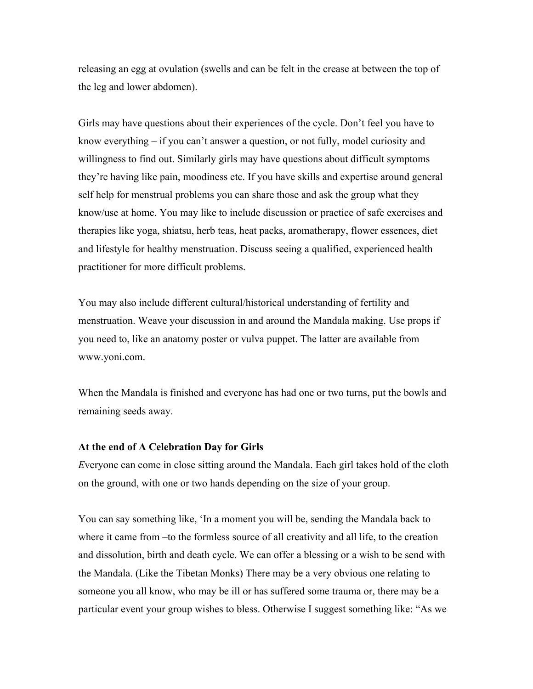releasing an egg at ovulation (swells and can be felt in the crease at between the top of the leg and lower abdomen).

Girls may have questions about their experiences of the cycle. Don't feel you have to know everything – if you can't answer a question, or not fully, model curiosity and willingness to find out. Similarly girls may have questions about difficult symptoms they're having like pain, moodiness etc. If you have skills and expertise around general self help for menstrual problems you can share those and ask the group what they know/use at home. You may like to include discussion or practice of safe exercises and therapies like yoga, shiatsu, herb teas, heat packs, aromatherapy, flower essences, diet and lifestyle for healthy menstruation. Discuss seeing a qualified, experienced health practitioner for more difficult problems.

You may also include different cultural/historical understanding of fertility and menstruation. Weave your discussion in and around the Mandala making. Use props if you need to, like an anatomy poster or vulva puppet. The latter are available from www.yoni.com.

When the Mandala is finished and everyone has had one or two turns, put the bowls and remaining seeds away.

## **At the end of A Celebration Day for Girls**

*E*veryone can come in close sitting around the Mandala. Each girl takes hold of the cloth on the ground, with one or two hands depending on the size of your group.

You can say something like, 'In a moment you will be, sending the Mandala back to where it came from –to the formless source of all creativity and all life, to the creation and dissolution, birth and death cycle. We can offer a blessing or a wish to be send with the Mandala. (Like the Tibetan Monks) There may be a very obvious one relating to someone you all know, who may be ill or has suffered some trauma or, there may be a particular event your group wishes to bless. Otherwise I suggest something like: "As we